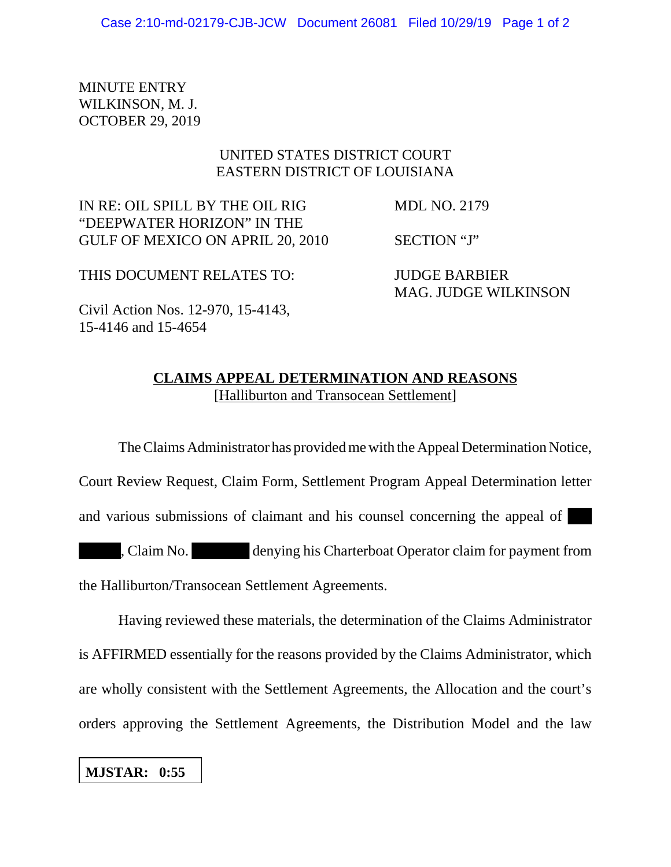MINUTE ENTRY WILKINSON, M. J. OCTOBER 29, 2019

## UNITED STATES DISTRICT COURT EASTERN DISTRICT OF LOUISIANA

IN RE: OIL SPILL BY THE OIL RIG MDL NO. 2179 "DEEPWATER HORIZON" IN THE GULF OF MEXICO ON APRIL 20, 2010 SECTION "J"

MAG. JUDGE WILKINSON

THIS DOCUMENT RELATES TO: JUDGE BARBIER

Civil Action Nos. 12-970, 15-4143, 15-4146 and 15-4654

## **CLAIMS APPEAL DETERMINATION AND REASONS**

[Halliburton and Transocean Settlement]

The Claims Administrator has provided me with the Appeal Determination Notice,

Court Review Request, Claim Form, Settlement Program Appeal Determination letter

and various submissions of claimant and his counsel concerning the appeal of

, Claim No. denying his Charterboat Operator claim for payment from the Halliburton/Transocean Settlement Agreements.

Having reviewed these materials, the determination of the Claims Administrator is AFFIRMED essentially for the reasons provided by the Claims Administrator, which are wholly consistent with the Settlement Agreements, the Allocation and the court's orders approving the Settlement Agreements, the Distribution Model and the law

**MJSTAR: 0:55**